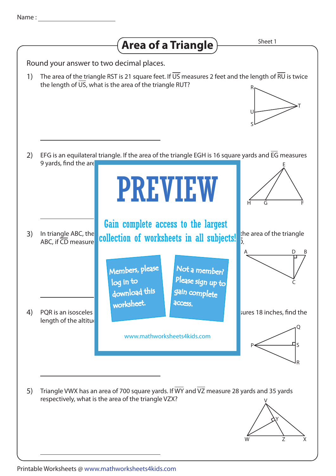